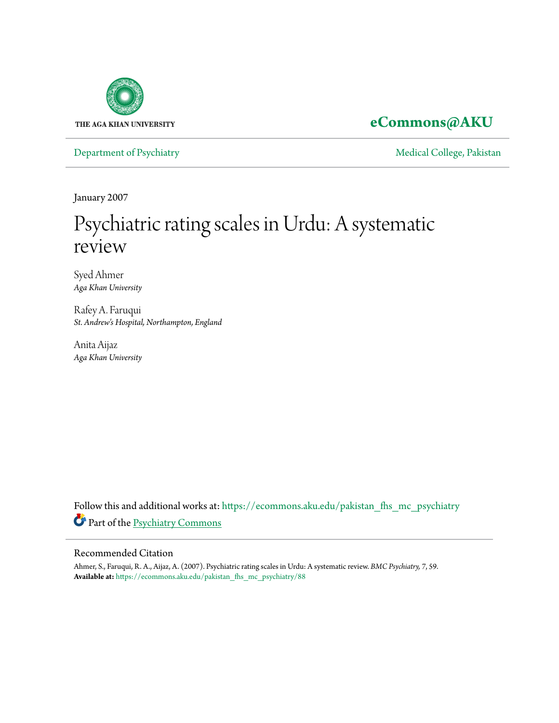

### **[eCommons@AKU](https://ecommons.aku.edu?utm_source=ecommons.aku.edu%2Fpakistan_fhs_mc_psychiatry%2F88&utm_medium=PDF&utm_campaign=PDFCoverPages)**

[Department of Psychiatry](https://ecommons.aku.edu/pakistan_fhs_mc_psychiatry?utm_source=ecommons.aku.edu%2Fpakistan_fhs_mc_psychiatry%2F88&utm_medium=PDF&utm_campaign=PDFCoverPages) and Theorem and Theorem and [Medical College, Pakistan](https://ecommons.aku.edu/pakistan_fhs_mc?utm_source=ecommons.aku.edu%2Fpakistan_fhs_mc_psychiatry%2F88&utm_medium=PDF&utm_campaign=PDFCoverPages)

January 2007

## Psychiatric rating scales in Urdu: A systematic review

Syed Ahmer *Aga Khan University*

Rafey A. Faruqui *St. Andrew's Hospital, Northampton, England*

Anita Aijaz *Aga Khan University*

Follow this and additional works at: [https://ecommons.aku.edu/pakistan\\_fhs\\_mc\\_psychiatry](https://ecommons.aku.edu/pakistan_fhs_mc_psychiatry?utm_source=ecommons.aku.edu%2Fpakistan_fhs_mc_psychiatry%2F88&utm_medium=PDF&utm_campaign=PDFCoverPages) Part of the [Psychiatry Commons](http://network.bepress.com/hgg/discipline/704?utm_source=ecommons.aku.edu%2Fpakistan_fhs_mc_psychiatry%2F88&utm_medium=PDF&utm_campaign=PDFCoverPages)

#### Recommended Citation

Ahmer, S., Faruqui, R. A., Aijaz, A. (2007). Psychiatric rating scales in Urdu: A systematic review. *BMC Psychiatry, 7*, 59. **Available at:** [https://ecommons.aku.edu/pakistan\\_fhs\\_mc\\_psychiatry/88](https://ecommons.aku.edu/pakistan_fhs_mc_psychiatry/88)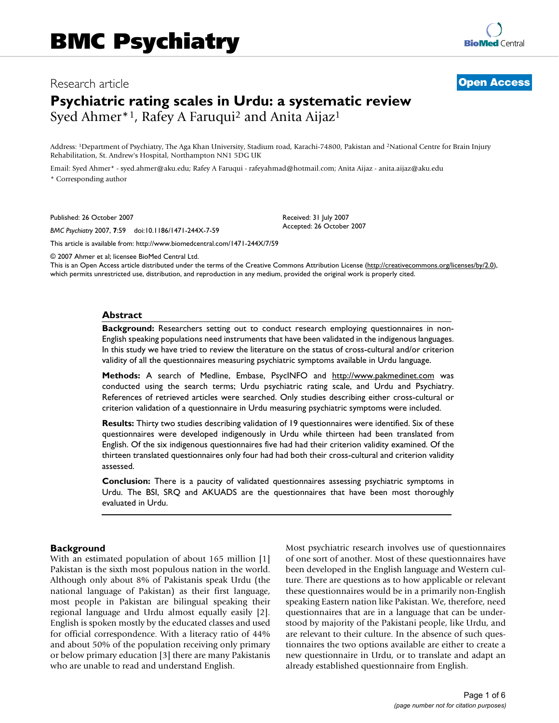#### Research article **[Open Access](http://www.biomedcentral.com/info/about/charter/)**

# **[BioMed](http://www.biomedcentral.com/)** Central

## **Psychiatric rating scales in Urdu: a systematic review** Syed Ahmer<sup>\*1</sup>, Rafey A Faruqui<sup>2</sup> and Anita Aijaz<sup>1</sup>

Address: 1Department of Psychiatry, The Aga Khan University, Stadium road, Karachi-74800, Pakistan and 2National Centre for Brain Injury Rehabilitation, St. Andrew's Hospital, Northampton NN1 5DG UK

Email: Syed Ahmer\* - syed.ahmer@aku.edu; Rafey A Faruqui - rafeyahmad@hotmail.com; Anita Aijaz - anita.aijaz@aku.edu \* Corresponding author

Published: 26 October 2007

*BMC Psychiatry* 2007, **7**:59 doi:10.1186/1471-244X-7-59

[This article is available from: http://www.biomedcentral.com/1471-244X/7/59](http://www.biomedcentral.com/1471-244X/7/59)

© 2007 Ahmer et al; licensee BioMed Central Ltd.

This is an Open Access article distributed under the terms of the Creative Commons Attribution License [\(http://creativecommons.org/licenses/by/2.0\)](http://creativecommons.org/licenses/by/2.0), which permits unrestricted use, distribution, and reproduction in any medium, provided the original work is properly cited.

Received: 31 July 2007 Accepted: 26 October 2007

#### **Abstract**

**Background:** Researchers setting out to conduct research employing questionnaires in non-English speaking populations need instruments that have been validated in the indigenous languages. In this study we have tried to review the literature on the status of cross-cultural and/or criterion validity of all the questionnaires measuring psychiatric symptoms available in Urdu language.

**Methods:** A search of Medline, Embase, PsycINFO and <http://www.pakmedinet.com>was conducted using the search terms; Urdu psychiatric rating scale, and Urdu and Psychiatry. References of retrieved articles were searched. Only studies describing either cross-cultural or criterion validation of a questionnaire in Urdu measuring psychiatric symptoms were included.

**Results:** Thirty two studies describing validation of 19 questionnaires were identified. Six of these questionnaires were developed indigenously in Urdu while thirteen had been translated from English. Of the six indigenous questionnaires five had had their criterion validity examined. Of the thirteen translated questionnaires only four had had both their cross-cultural and criterion validity assessed.

**Conclusion:** There is a paucity of validated questionnaires assessing psychiatric symptoms in Urdu. The BSI, SRQ and AKUADS are the questionnaires that have been most thoroughly evaluated in Urdu.

#### **Background**

With an estimated population of about 165 million [1] Pakistan is the sixth most populous nation in the world. Although only about 8% of Pakistanis speak Urdu (the national language of Pakistan) as their first language, most people in Pakistan are bilingual speaking their regional language and Urdu almost equally easily [2]. English is spoken mostly by the educated classes and used for official correspondence. With a literacy ratio of 44% and about 50% of the population receiving only primary or below primary education [3] there are many Pakistanis who are unable to read and understand English.

Most psychiatric research involves use of questionnaires of one sort of another. Most of these questionnaires have been developed in the English language and Western culture. There are questions as to how applicable or relevant these questionnaires would be in a primarily non-English speaking Eastern nation like Pakistan. We, therefore, need questionnaires that are in a language that can be understood by majority of the Pakistani people, like Urdu, and are relevant to their culture. In the absence of such questionnaires the two options available are either to create a new questionnaire in Urdu, or to translate and adapt an already established questionnaire from English.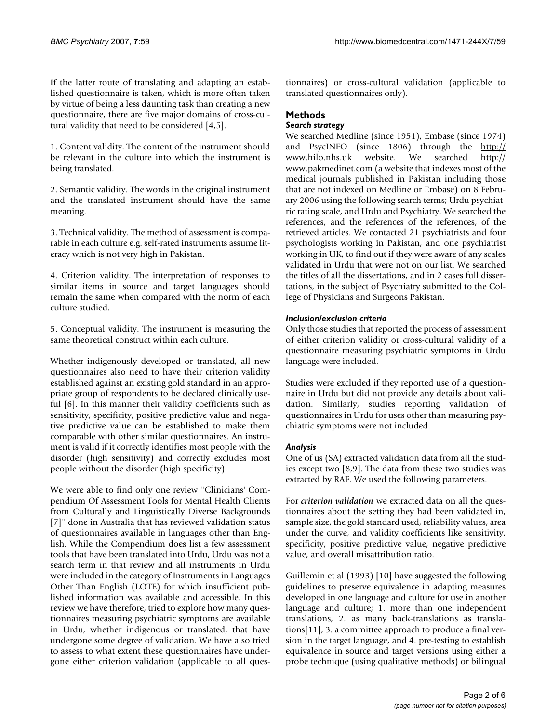If the latter route of translating and adapting an established questionnaire is taken, which is more often taken by virtue of being a less daunting task than creating a new questionnaire, there are five major domains of cross-cultural validity that need to be considered [4,5].

1. Content validity. The content of the instrument should be relevant in the culture into which the instrument is being translated.

2. Semantic validity. The words in the original instrument and the translated instrument should have the same meaning.

3. Technical validity. The method of assessment is comparable in each culture e.g. self-rated instruments assume literacy which is not very high in Pakistan.

4. Criterion validity. The interpretation of responses to similar items in source and target languages should remain the same when compared with the norm of each culture studied.

5. Conceptual validity. The instrument is measuring the same theoretical construct within each culture.

Whether indigenously developed or translated, all new questionnaires also need to have their criterion validity established against an existing gold standard in an appropriate group of respondents to be declared clinically useful [6]. In this manner their validity coefficients such as sensitivity, specificity, positive predictive value and negative predictive value can be established to make them comparable with other similar questionnaires. An instrument is valid if it correctly identifies most people with the disorder (high sensitivity) and correctly excludes most people without the disorder (high specificity).

We were able to find only one review "Clinicians' Compendium Of Assessment Tools for Mental Health Clients from Culturally and Linguistically Diverse Backgrounds [7]" done in Australia that has reviewed validation status of questionnaires available in languages other than English. While the Compendium does list a few assessment tools that have been translated into Urdu, Urdu was not a search term in that review and all instruments in Urdu were included in the category of Instruments in Languages Other Than English (LOTE) for which insufficient published information was available and accessible. In this review we have therefore, tried to explore how many questionnaires measuring psychiatric symptoms are available in Urdu, whether indigenous or translated, that have undergone some degree of validation. We have also tried to assess to what extent these questionnaires have undergone either criterion validation (applicable to all questionnaires) or cross-cultural validation (applicable to translated questionnaires only).

#### **Methods**

#### *Search strategy*

We searched Medline (since 1951), Embase (since 1974) and PsycINFO (since 1806) through the [http://](http://www.hilo.nhs.uk) [www.hilo.nhs.uk](http://www.hilo.nhs.uk) website. We searched [http://](http://www.pakmedinet.com) [www.pakmedinet.com](http://www.pakmedinet.com) (a website that indexes most of the medical journals published in Pakistan including those that are not indexed on Medline or Embase) on 8 February 2006 using the following search terms; Urdu psychiatric rating scale, and Urdu and Psychiatry. We searched the references, and the references of the references, of the retrieved articles. We contacted 21 psychiatrists and four psychologists working in Pakistan, and one psychiatrist working in UK, to find out if they were aware of any scales validated in Urdu that were not on our list. We searched the titles of all the dissertations, and in 2 cases full dissertations, in the subject of Psychiatry submitted to the College of Physicians and Surgeons Pakistan.

#### *Inclusion/exclusion criteria*

Only those studies that reported the process of assessment of either criterion validity or cross-cultural validity of a questionnaire measuring psychiatric symptoms in Urdu language were included.

Studies were excluded if they reported use of a questionnaire in Urdu but did not provide any details about validation. Similarly, studies reporting validation of questionnaires in Urdu for uses other than measuring psychiatric symptoms were not included.

#### *Analysis*

One of us (SA) extracted validation data from all the studies except two [8,9]. The data from these two studies was extracted by RAF. We used the following parameters.

For *criterion validation* we extracted data on all the questionnaires about the setting they had been validated in, sample size, the gold standard used, reliability values, area under the curve, and validity coefficients like sensitivity, specificity, positive predictive value, negative predictive value, and overall misattribution ratio.

Guillemin et al (1993) [10] have suggested the following guidelines to preserve equivalence in adapting measures developed in one language and culture for use in another language and culture; 1. more than one independent translations, 2. as many back-translations as translations[11], 3. a committee approach to produce a final version in the target language, and 4. pre-testing to establish equivalence in source and target versions using either a probe technique (using qualitative methods) or bilingual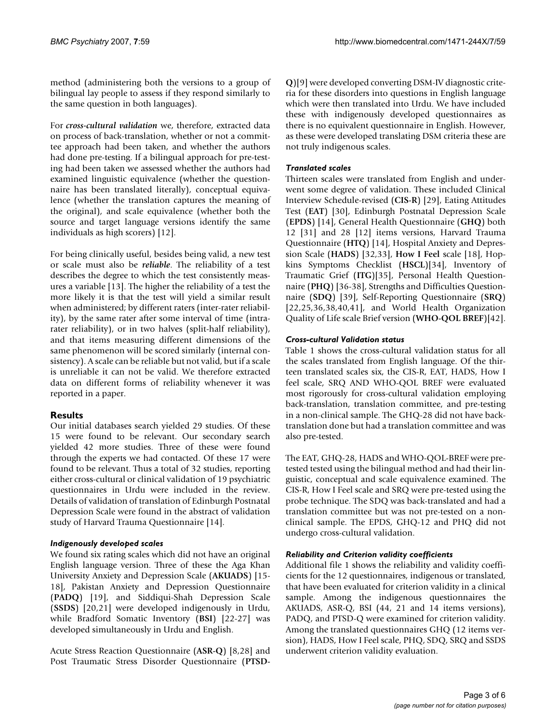method (administering both the versions to a group of bilingual lay people to assess if they respond similarly to the same question in both languages).

For *cross-cultural validation* we, therefore, extracted data on process of back-translation, whether or not a committee approach had been taken, and whether the authors had done pre-testing. If a bilingual approach for pre-testing had been taken we assessed whether the authors had examined linguistic equivalence (whether the questionnaire has been translated literally), conceptual equivalence (whether the translation captures the meaning of the original), and scale equivalence (whether both the source and target language versions identify the same individuals as high scorers) [12].

For being clinically useful, besides being valid, a new test or scale must also be *reliable*. The reliability of a test describes the degree to which the test consistently measures a variable [13]. The higher the reliability of a test the more likely it is that the test will yield a similar result when administered; by different raters (inter-rater reliability), by the same rater after some interval of time (intrarater reliability), or in two halves (split-half reliability), and that items measuring different dimensions of the same phenomenon will be scored similarly (internal consistency). A scale can be reliable but not valid, but if a scale is unreliable it can not be valid. We therefore extracted data on different forms of reliability whenever it was reported in a paper.

#### **Results**

Our initial databases search yielded 29 studies. Of these 15 were found to be relevant. Our secondary search yielded 42 more studies. Three of these were found through the experts we had contacted. Of these 17 were found to be relevant. Thus a total of 32 studies, reporting either cross-cultural or clinical validation of 19 psychiatric questionnaires in Urdu were included in the review. Details of validation of translation of Edinburgh Postnatal Depression Scale were found in the abstract of validation study of Harvard Trauma Questionnaire [14].

#### *Indigenously developed scales*

We found six rating scales which did not have an original English language version. Three of these the Aga Khan University Anxiety and Depression Scale (**AKUADS**) [15- 18], Pakistan Anxiety and Depression Questionnaire (**PADQ**) [19], and Siddiqui-Shah Depression Scale (**SSDS**) [20,21] were developed indigenously in Urdu, while Bradford Somatic Inventory (**BSI**) [22-27] was developed simultaneously in Urdu and English.

Acute Stress Reaction Questionnaire (**ASR-Q**) [8,28] and Post Traumatic Stress Disorder Questionnaire (**PTSD-** **Q**)[9] were developed converting DSM-IV diagnostic criteria for these disorders into questions in English language which were then translated into Urdu. We have included these with indigenously developed questionnaires as there is no equivalent questionnaire in English. However, as these were developed translating DSM criteria these are not truly indigenous scales.

#### *Translated scales*

Thirteen scales were translated from English and underwent some degree of validation. These included Clinical Interview Schedule-revised (**CIS-R**) [29], Eating Attitudes Test (**EAT**) [30], Edinburgh Postnatal Depression Scale (**EPDS**) [14], General Health Questionnaire (**GHQ**) both 12 [31] and 28 [12] items versions, Harvard Trauma Questionnaire (**HTQ**) [14], Hospital Anxiety and Depression Scale (**HADS**) [32,33], **How I Feel** scale [18], Hopkins Symptoms Checklist (**HSCL**)[34], Inventory of Traumatic Grief (**ITG**)[35], Personal Health Questionnaire (**PHQ**) [36-38], Strengths and Difficulties Questionnaire (**SDQ**) [39], Self-Reporting Questionnaire (**SRQ**) [22,25,36,38,40,41], and World Health Organization Quality of Life scale Brief version (**WHO-QOL BREF**)[42].

#### *Cross-cultural Validation status*

Table 1 shows the cross-cultural validation status for all the scales translated from English language. Of the thirteen translated scales six, the CIS-R, EAT, HADS, How I feel scale, SRQ AND WHO-QOL BREF were evaluated most rigorously for cross-cultural validation employing back-translation, translation committee, and pre-testing in a non-clinical sample. The GHQ-28 did not have backtranslation done but had a translation committee and was also pre-tested.

The EAT, GHQ-28, HADS and WHO-QOL-BREF were pretested tested using the bilingual method and had their linguistic, conceptual and scale equivalence examined. The CIS-R, How I Feel scale and SRQ were pre-tested using the probe technique. The SDQ was back-translated and had a translation committee but was not pre-tested on a nonclinical sample. The EPDS, GHQ-12 and PHQ did not undergo cross-cultural validation.

#### *Reliability and Criterion validity coefficients*

Additional file 1 shows the reliability and validity coefficients for the 12 questionnaires, indigenous or translated, that have been evaluated for criterion validity in a clinical sample. Among the indigenous questionnaires the AKUADS, ASR-Q, BSI (44, 21 and 14 items versions), PADQ, and PTSD-Q were examined for criterion validity. Among the translated questionnaires GHQ (12 items version), HADS, How I Feel scale, PHQ, SDQ, SRQ and SSDS underwent criterion validity evaluation.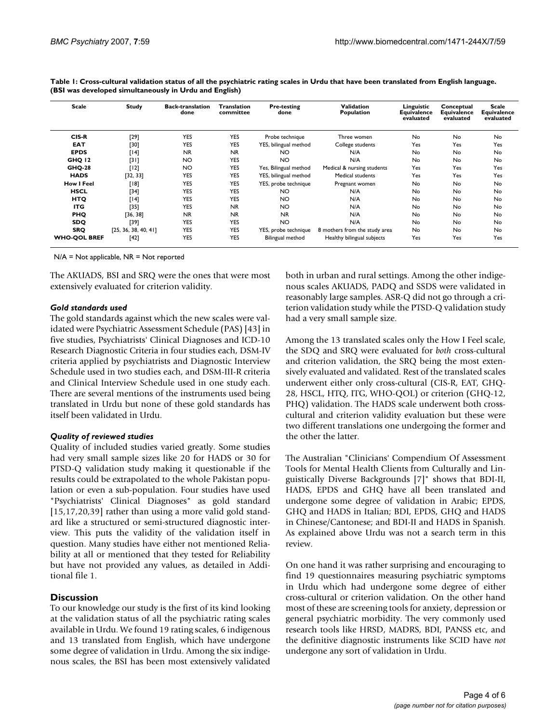| <b>Scale</b>        | <b>Study</b>         | <b>Back-translation</b><br>done | Translation<br>committee | <b>Pre-testing</b><br>done | Validation<br>Population      | Linguistic<br><b>Equivalence</b><br>evaluated | Conceptual<br><b>Equivalence</b><br>evaluated | <b>Scale</b><br>Equivalence<br>evaluated |
|---------------------|----------------------|---------------------------------|--------------------------|----------------------------|-------------------------------|-----------------------------------------------|-----------------------------------------------|------------------------------------------|
| CIS-R               | [29]                 | <b>YES</b>                      | <b>YES</b>               | Probe technique            | Three women                   | No                                            | No                                            | No                                       |
| <b>EAT</b>          | [30]                 | <b>YES</b>                      | <b>YES</b>               | YES, bilingual method      | College students              | Yes                                           | Yes                                           | Yes                                      |
| <b>EPDS</b>         | [14]                 | <b>NR</b>                       | <b>NR</b>                | <b>NO</b>                  | N/A                           | N <sub>o</sub>                                | No.                                           | No                                       |
| <b>GHQ 12</b>       | [3]                  | <b>NO</b>                       | <b>YES</b>               | <b>NO</b>                  | N/A                           | N <sub>o</sub>                                | No                                            | No                                       |
| <b>GHQ-28</b>       | $[12]$               | <b>NO</b>                       | <b>YES</b>               | Yes, Bilingual method      | Medical & nursing students    | Yes                                           | Yes                                           | Yes                                      |
| <b>HADS</b>         | [32, 33]             | <b>YES</b>                      | <b>YES</b>               | YES, bilingual method      | Medical students              | Yes                                           | Yes                                           | Yes                                      |
| <b>How I Feel</b>   | [18]                 | <b>YES</b>                      | <b>YES</b>               | YES, probe technique       | Pregnant women                | No                                            | <b>No</b>                                     | No                                       |
| <b>HSCL</b>         | $[34]$               | YES                             | <b>YES</b>               | <b>NO</b>                  | N/A                           | No                                            | No.                                           | No                                       |
| <b>HTQ</b>          | [14]                 | YES                             | <b>YES</b>               | <b>NO</b>                  | N/A                           | No                                            | No                                            | No                                       |
| <b>ITG</b>          | $[35]$               | <b>YES</b>                      | <b>NR</b>                | NO.                        | N/A                           | No                                            | No                                            | No                                       |
| <b>PHQ</b>          | [36, 38]             | <b>NR</b>                       | <b>NR</b>                | <b>NR</b>                  | N/A                           | No                                            | No                                            | No                                       |
| <b>SDQ</b>          | [39]                 | YES                             | <b>YES</b>               | <b>NO</b>                  | N/A                           | No                                            | No                                            | No                                       |
| <b>SRQ</b>          | [25, 36, 38, 40, 41] | YES                             | <b>YES</b>               | YES, probe technique       | 8 mothers from the study area | No                                            | No.                                           | <b>No</b>                                |
| <b>WHO-QOL BREF</b> | $[42]$               | YES                             | <b>YES</b>               | Bilingual method           | Healthy bilingual subjects    | Yes                                           | Yes                                           | Yes                                      |

**Table 1: Cross-cultural validation status of all the psychiatric rating scales in Urdu that have been translated from English language. (BSI was developed simultaneously in Urdu and English)**

N/A = Not applicable, NR = Not reported

The AKUADS, BSI and SRQ were the ones that were most extensively evaluated for criterion validity.

#### *Gold standards used*

The gold standards against which the new scales were validated were Psychiatric Assessment Schedule (PAS) [43] in five studies, Psychiatrists' Clinical Diagnoses and ICD-10 Research Diagnostic Criteria in four studies each, DSM-IV criteria applied by psychiatrists and Diagnostic Interview Schedule used in two studies each, and DSM-III-R criteria and Clinical Interview Schedule used in one study each. There are several mentions of the instruments used being translated in Urdu but none of these gold standards has itself been validated in Urdu.

#### *Quality of reviewed studies*

Quality of included studies varied greatly. Some studies had very small sample sizes like 20 for HADS or 30 for PTSD-Q validation study making it questionable if the results could be extrapolated to the whole Pakistan population or even a sub-population. Four studies have used "Psychiatrists' Clinical Diagnoses" as gold standard [15,17,20,39] rather than using a more valid gold standard like a structured or semi-structured diagnostic interview. This puts the validity of the validation itself in question. Many studies have either not mentioned Reliability at all or mentioned that they tested for Reliability but have not provided any values, as detailed in Additional file 1.

#### **Discussion**

To our knowledge our study is the first of its kind looking at the validation status of all the psychiatric rating scales available in Urdu. We found 19 rating scales, 6 indigenous and 13 translated from English, which have undergone some degree of validation in Urdu. Among the six indigenous scales, the BSI has been most extensively validated

both in urban and rural settings. Among the other indigenous scales AKUADS, PADQ and SSDS were validated in reasonably large samples. ASR-Q did not go through a criterion validation study while the PTSD-Q validation study had a very small sample size.

Among the 13 translated scales only the How I Feel scale, the SDQ and SRQ were evaluated for *both* cross-cultural and criterion validation, the SRQ being the most extensively evaluated and validated. Rest of the translated scales underwent either only cross-cultural (CIS-R, EAT, GHQ-28, HSCL, HTQ, ITG, WHO-QOL) or criterion (GHQ-12, PHQ) validation. The HADS scale underwent both crosscultural and criterion validity evaluation but these were two different translations one undergoing the former and the other the latter.

The Australian "Clinicians' Compendium Of Assessment Tools for Mental Health Clients from Culturally and Linguistically Diverse Backgrounds [7]" shows that BDI-II, HADS, EPDS and GHQ have all been translated and undergone some degree of validation in Arabic; EPDS, GHQ and HADS in Italian; BDI, EPDS, GHQ and HADS in Chinese/Cantonese; and BDI-II and HADS in Spanish. As explained above Urdu was not a search term in this review.

On one hand it was rather surprising and encouraging to find 19 questionnaires measuring psychiatric symptoms in Urdu which had undergone some degree of either cross-cultural or criterion validation. On the other hand most of these are screening tools for anxiety, depression or general psychiatric morbidity. The very commonly used research tools like HRSD, MADRS, BDI, PANSS etc, and the definitive diagnostic instruments like SCID have *not* undergone any sort of validation in Urdu.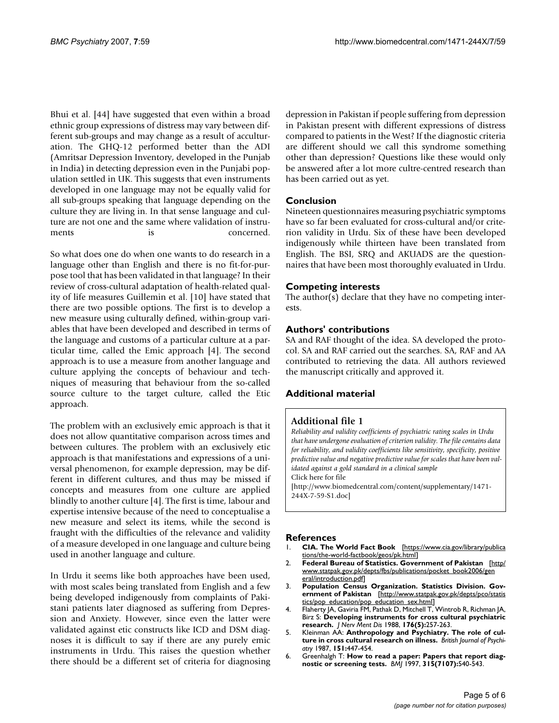Bhui et al. [44] have suggested that even within a broad ethnic group expressions of distress may vary between different sub-groups and may change as a result of acculturation. The GHQ-12 performed better than the ADI (Amritsar Depression Inventory, developed in the Punjab in India) in detecting depression even in the Punjabi population settled in UK. This suggests that even instruments developed in one language may not be equally valid for all sub-groups speaking that language depending on the culture they are living in. In that sense language and culture are not one and the same where validation of instruments is concerned.

So what does one do when one wants to do research in a language other than English and there is no fit-for-purpose tool that has been validated in that language? In their review of cross-cultural adaptation of health-related quality of life measures Guillemin et al. [10] have stated that there are two possible options. The first is to develop a new measure using culturally defined, within-group variables that have been developed and described in terms of the language and customs of a particular culture at a particular time, called the Emic approach [4]. The second approach is to use a measure from another language and culture applying the concepts of behaviour and techniques of measuring that behaviour from the so-called source culture to the target culture, called the Etic approach.

The problem with an exclusively emic approach is that it does not allow quantitative comparison across times and between cultures. The problem with an exclusively etic approach is that manifestations and expressions of a universal phenomenon, for example depression, may be different in different cultures, and thus may be missed if concepts and measures from one culture are applied blindly to another culture [4]. The first is time, labour and expertise intensive because of the need to conceptualise a new measure and select its items, while the second is fraught with the difficulties of the relevance and validity of a measure developed in one language and culture being used in another language and culture.

In Urdu it seems like both approaches have been used, with most scales being translated from English and a few being developed indigenously from complaints of Pakistani patients later diagnosed as suffering from Depression and Anxiety. However, since even the latter were validated against etic constructs like ICD and DSM diagnoses it is difficult to say if there are any purely emic instruments in Urdu. This raises the question whether there should be a different set of criteria for diagnosing depression in Pakistan if people suffering from depression in Pakistan present with different expressions of distress compared to patients in the West? If the diagnostic criteria are different should we call this syndrome something other than depression? Questions like these would only be answered after a lot more cultre-centred research than has been carried out as yet.

#### **Conclusion**

Nineteen questionnaires measuring psychiatric symptoms have so far been evaluated for cross-cultural and/or criterion validity in Urdu. Six of these have been developed indigenously while thirteen have been translated from English. The BSI, SRQ and AKUADS are the questionnaires that have been most thoroughly evaluated in Urdu.

#### **Competing interests**

The author(s) declare that they have no competing interests.

#### **Authors' contributions**

SA and RAF thought of the idea. SA developed the protocol. SA and RAF carried out the searches. SA, RAF and AA contributed to retrieving the data. All authors reviewed the manuscript critically and approved it.

#### **Additional material**

#### **Additional file 1**

*Reliability and validity coefficients of psychiatric rating scales in Urdu that have undergone evaluation of criterion validity. The file contains data for reliability, and validity coefficients like sensitivity, specificity, positive predictive value and negative predictive value for scales that have been validated against a gold standard in a clinical sample* Click here for file [\[http://www.biomedcentral.com/content/supplementary/1471-](http://www.biomedcentral.com/content/supplementary/1471-244X-7-59-S1.doc)

244X-7-59-S1.doc]

#### **References**

- 1. **CIA. The World Fact Book** [\[https://www.cia.gov/library/publica](https://www.cia.gov/library/publications/the-world-factbook/geos/pk.html) [tions/the-world-factbook/geos/pk.html\]](https://www.cia.gov/library/publications/the-world-factbook/geos/pk.html)
- 2. **Federal Bureau of Statistics. Government of Pakistan** [[http/](http://www.statpak.gov.pk/depts/fbs/publications/pocket_book2006/general/introduction.pdf) [www.statpak.gov.pk/depts/fbs/publications/pocket\\_book2006/gen](http://www.statpak.gov.pk/depts/fbs/publications/pocket_book2006/general/introduction.pdf) [eral/introduction.pdf\]](http://www.statpak.gov.pk/depts/fbs/publications/pocket_book2006/general/introduction.pdf)
- 3. **Population Census Organization. Statistics Division. Government of Pakistan** [[http://www.statpak.gov.pk/depts/pco/statis](http://www.statpak.gov.pk/depts/pco/statistics/pop_education/pop_education_sex.html) [tics/pop\\_education/pop\\_education\\_sex.html\]](http://www.statpak.gov.pk/depts/pco/statistics/pop_education/pop_education_sex.html)
- 4. Flaherty JA, Gaviria FM, Pathak D, Mitchell T, Wintrob R, Richman JA, Birz S: **[Developing instruments for cross cultural psychiatric](http://www.ncbi.nlm.nih.gov/entrez/query.fcgi?cmd=Retrieve&db=PubMed&dopt=Abstract&list_uids=3367140) [research.](http://www.ncbi.nlm.nih.gov/entrez/query.fcgi?cmd=Retrieve&db=PubMed&dopt=Abstract&list_uids=3367140)** *J Nerv Ment Dis* 1988, **176(5):**257-263.
- 5. Kleinman AA: **[Anthropology and Psychiatry. The role of cul](http://www.ncbi.nlm.nih.gov/entrez/query.fcgi?cmd=Retrieve&db=PubMed&dopt=Abstract&list_uids=3447661)[ture in cross cultural research on illness.](http://www.ncbi.nlm.nih.gov/entrez/query.fcgi?cmd=Retrieve&db=PubMed&dopt=Abstract&list_uids=3447661)** *British Journal of Psychiatry* 1987, **151:**447-454.
- 6. Greenhalgh T: **[How to read a paper: Papers that report diag](http://www.ncbi.nlm.nih.gov/entrez/query.fcgi?cmd=Retrieve&db=PubMed&dopt=Abstract&list_uids=9329312)[nostic or screening tests.](http://www.ncbi.nlm.nih.gov/entrez/query.fcgi?cmd=Retrieve&db=PubMed&dopt=Abstract&list_uids=9329312)** *BMJ* 1997, **315(7107):**540-543.